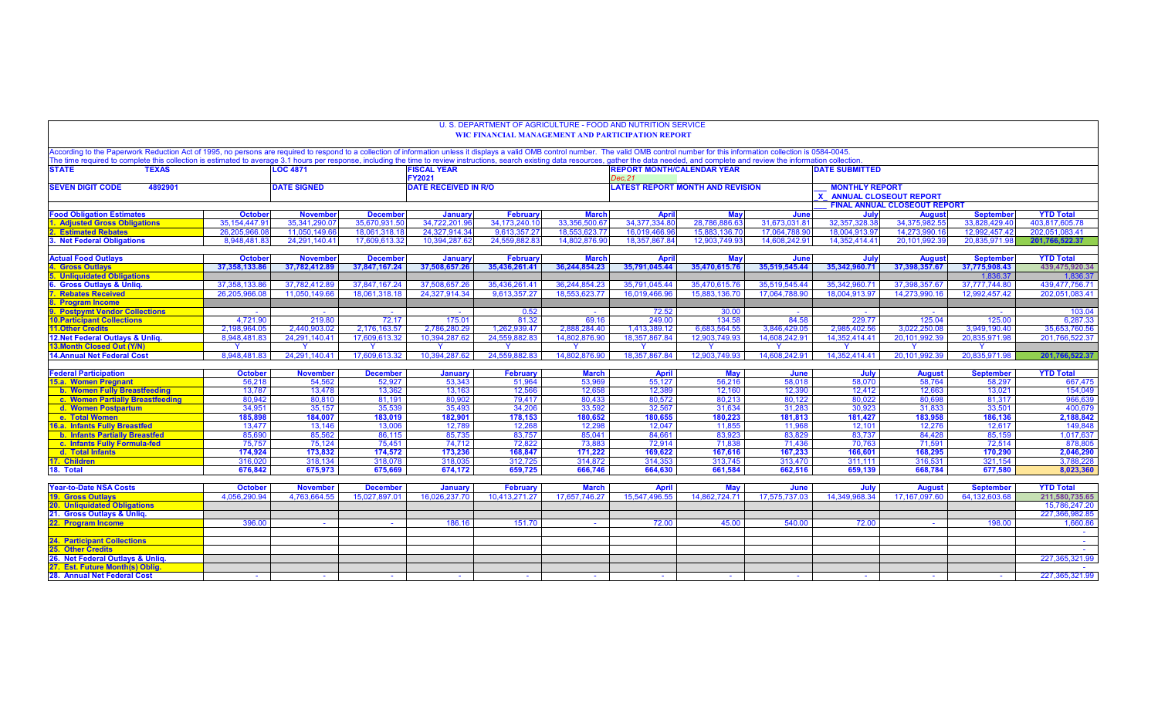| U. S. DEPARTMENT OF AGRICULTURE - FOOD AND NUTRITION SERVICE<br><b>WIC FINANCIAL MANAGEMENT AND PARTICIPATION REPORT</b>                                                                                                                                                                                                                                                                                                                                         |                          |                                                        |                           |                   |                           |                                             |                        |                                     |                                                        |                |                         |                            |                                 |
|------------------------------------------------------------------------------------------------------------------------------------------------------------------------------------------------------------------------------------------------------------------------------------------------------------------------------------------------------------------------------------------------------------------------------------------------------------------|--------------------------|--------------------------------------------------------|---------------------------|-------------------|---------------------------|---------------------------------------------|------------------------|-------------------------------------|--------------------------------------------------------|----------------|-------------------------|----------------------------|---------------------------------|
| According to the Paperwork Reduction Act of 1995, no persons are required to respond to a collection of information unless it displays a valid OMB control number. The valid OMB control number for this information collectio<br>The time required to complete this collection is estimated to average 3.1 hours per response, including the time to review instructions, search existing data resources, gather the data needed, and complete and review the i |                          |                                                        |                           |                   |                           |                                             |                        |                                     |                                                        |                |                         |                            |                                 |
| <b>STATE</b><br><b>TEXAS</b>                                                                                                                                                                                                                                                                                                                                                                                                                                     |                          | <b>LOC 4871</b><br><b>FISCAL YEAR</b><br><b>FY2021</b> |                           |                   |                           | <b>REPORT MONTH/CALENDAR YEAR</b><br>Dec.21 |                        |                                     | <b>DATE SUBMITTED</b>                                  |                |                         |                            |                                 |
| <b>SEVEN DIGIT CODE</b><br>4892901                                                                                                                                                                                                                                                                                                                                                                                                                               |                          | <b>DATE SIGNED</b><br><b>DATE RECEIVED IN R/O</b>      |                           |                   |                           | <b>LATEST REPORT MONTH AND REVISION</b>     |                        |                                     | <b>MONTHLY REPORT</b><br><b>ANNUAL CLOSEOUT REPORT</b> |                |                         |                            |                                 |
|                                                                                                                                                                                                                                                                                                                                                                                                                                                                  |                          |                                                        |                           |                   |                           |                                             |                        | <b>FINAL ANNUAL CLOSEOUT REPORT</b> |                                                        |                |                         |                            |                                 |
| <b>Food Obligation Estimates</b>                                                                                                                                                                                                                                                                                                                                                                                                                                 | <b>October</b>           | <b>November</b>                                        | <b>December</b>           | Januar            | <b>February</b>           | <b>March</b>                                | <b>April</b>           | <b>May</b>                          | June                                                   | July           | <b>August</b>           | <b>September</b>           | <b>YTD Total</b>                |
| 1. Adjusted Gross Obligations                                                                                                                                                                                                                                                                                                                                                                                                                                    | 35.154.447.91            | 35.341.290.0                                           | 35.670.931.50             | 34.722.201.       | 34.173.240.1              | 33.356.500.67                               | 34.377.334.80          | 28.786.886.63                       | 31.673.031.8                                           | 32.357.328.3   | 34.375.982.55           | 33.828.429.40              | 403.817.605.78                  |
| <b>2. Estimated Rebates</b>                                                                                                                                                                                                                                                                                                                                                                                                                                      | 26,205,966.0             | 11,050,149.6                                           | 18,061,318.18             | 24,327,914.3      | 9,613,357.27              | 18,553,623.77                               | 16,019,466.            | 15,883,136.7                        | 17,064,788.9                                           | 18,004,913.97  | 14,273,990.16           | 12,992,457.42              | 202,051,083.41                  |
| 3. Net Federal Obligations                                                                                                                                                                                                                                                                                                                                                                                                                                       | 8.948.481.83             | 24.291.140.41                                          | 17.609.613.32             | 10.394,287.62     | 24.559.882.83             | 14,802,876,90                               | 18.357.867.84          | 12.903,749.93                       | 14.608.242.9                                           | 14.352.414.41  | 20.101.992.39           | 20.835.971.98              | 201.766.522.37                  |
| <b>Actual Food Outlays</b>                                                                                                                                                                                                                                                                                                                                                                                                                                       | <b>October</b>           | <b>November</b>                                        | <b>December</b>           | January           | <b>February</b>           | <b>March</b>                                | <b>April</b>           | <b>May</b>                          | June                                                   | July           | <b>August</b>           | <b>September</b>           | <b>YTD Total</b>                |
| 4. Gross Outlays                                                                                                                                                                                                                                                                                                                                                                                                                                                 | 37,358,133.86            | 37,782,412.89                                          | 37,847,167.24             | 37,508,657.26     | 35,436,261.41             | 36,244,854.23                               | 35,791,045.44          | 35,470,615.76                       | 35,519,545.44                                          | 35,342,960.71  | 37,398,357.67           | 37,775,908.43              | 439,475,920.34                  |
| <b>5. Unliquidated Obligations</b>                                                                                                                                                                                                                                                                                                                                                                                                                               |                          |                                                        |                           |                   |                           |                                             |                        |                                     |                                                        |                |                         | 1.836.37                   | 1.836.37                        |
| 6. Gross Outlays & Unlig.                                                                                                                                                                                                                                                                                                                                                                                                                                        | 37.358.133.86            | 37.782.412.89                                          | 37.847.167.24             | 37.508.657.26     | 35.436.261.41             | 36.244.854.23                               | 35.791.045.44          | 35.470.615.76                       | 35.519.545.44                                          | 35.342.960.71  | 37.398.357.67           | 37.777.744.80              | 439.477.756.71                  |
| 7. Rebates Received                                                                                                                                                                                                                                                                                                                                                                                                                                              | 26,205,966.08            | 11.050.149.66                                          | 18,061,318.18             | 24,327,914.34     | 9,613,357.27              | 18.553.623.77                               | 16,019,466.96          | 15,883,136.70                       | 17,064,788.90                                          | 18.004.913.97  | 14,273,990.16           | 12.992.457.42              | 202,051,083.41                  |
| 8. Program Income                                                                                                                                                                                                                                                                                                                                                                                                                                                |                          |                                                        |                           |                   |                           |                                             |                        |                                     |                                                        |                |                         |                            |                                 |
| 9. Postpymt Vendor Collections                                                                                                                                                                                                                                                                                                                                                                                                                                   | <b>Section</b>           | $\sim$                                                 | $\sim$                    | $\sim$ $-$        | 0.52                      | $\sim$                                      | 72.52                  | 30.00                               | $\sim 10^{-1}$                                         | $\sim$ $-$     | $\sim$                  | <b>Card</b>                | 103.04                          |
| <b>10. Participant Collections</b>                                                                                                                                                                                                                                                                                                                                                                                                                               | 4.721.90                 | 219.80                                                 | 72.17                     | 175.01            | 81.32                     | 69.16                                       | 249.00                 | 134.58                              | 84.58                                                  | 229.77         | 125.04                  | 125.00                     | 6.287.33                        |
| <b>11.Other Credits</b>                                                                                                                                                                                                                                                                                                                                                                                                                                          | 2,198,964.05             | 2,440,903.02                                           | 2,176,163.57              | 2,786,280.29      | 1,262,939.47              | 2.888.284.40                                | 1.413.389.12           | 6,683,564.55                        | 3,846,429.05                                           | 2,985,402.56   | 3.022.250.08            | 3,949,190.40               | 35,653,760.56                   |
| 12. Net Federal Outlays & Unliq.                                                                                                                                                                                                                                                                                                                                                                                                                                 | 8,948,481.83             | 24,291,140.41                                          | 17,609,613.32             | 10,394,287.62     | 24,559,882.83             | 14,802,876.90                               | 18,357,867.84          | 12,903,749.93                       | 14,608,242.91                                          | 14,352,414.41  | 20,101,992.39           | 20,835,971.98              | 201,766,522.37                  |
| <b>13.Month Closed Out (Y/N)</b>                                                                                                                                                                                                                                                                                                                                                                                                                                 |                          |                                                        |                           |                   |                           |                                             |                        |                                     |                                                        |                |                         |                            |                                 |
| <b>14.Annual Net Federal Cost</b>                                                                                                                                                                                                                                                                                                                                                                                                                                | 8.948.481.83             | 24,291,140.41                                          | 17.609.613.32             | 10,394,287.62     | 24.559.882.83             | 14,802,876.90                               | 18.357.867.84          | 12.903.749.93                       | 14.608.242.91                                          | 14.352.414.41  | 20.101.992.39           | 20.835.971.98              | 201,766,522.37                  |
|                                                                                                                                                                                                                                                                                                                                                                                                                                                                  |                          |                                                        |                           |                   |                           |                                             |                        |                                     |                                                        |                |                         |                            |                                 |
| <b>Federal Participation</b><br>15.a. Women Pregnant                                                                                                                                                                                                                                                                                                                                                                                                             | <b>October</b><br>56.218 | <b>November</b><br>54,562                              | <b>December</b><br>52.927 | January<br>53.343 | <b>February</b><br>51.964 | <b>March</b><br>53.969                      | <b>April</b><br>55,127 | May<br>56.216                       | June<br>58.018                                         | July<br>58,070 | <b>August</b><br>58.764 | <b>September</b><br>58,297 | <b>YTD Total</b><br>667,475     |
| b. Women Fully Breastfeeding                                                                                                                                                                                                                                                                                                                                                                                                                                     | 13,787                   | 13,478                                                 | 13,362                    | 13.163            | 12.566                    | 12.658                                      | 12.389                 | 12,160                              | 12.390                                                 | 12,412         | 12.663                  | 13,021                     | 154,049                         |
| c. Women Partially Breastfeeding                                                                                                                                                                                                                                                                                                                                                                                                                                 | 80,942                   | 80,810                                                 | 81,191                    | 80,902            | 79,417                    | 80,433                                      | 80,572                 | 80,213                              | 80,122                                                 | 80,022         | 80,698                  | 81,317                     | 966,639                         |
| d. Women Postpartum                                                                                                                                                                                                                                                                                                                                                                                                                                              | 34,951                   | 35.157                                                 | 35.539                    | 35.493            | 34,206                    | 33.592                                      | 32.567                 | 31.634                              | 31.283                                                 | 30.923         | 31.833                  | 33.501                     | 400.679                         |
| e. Total Women                                                                                                                                                                                                                                                                                                                                                                                                                                                   | 185,898                  | 184,007                                                | 183,019                   | 182,901           | 178,153                   | 180,652                                     | 180,655                | 180,223                             | 181,813                                                | 181,427        | 183,958                 | 186,136                    | 2,188,842                       |
| 16.a. Infants Fully Breastfed                                                                                                                                                                                                                                                                                                                                                                                                                                    | 13.477                   | 13.146                                                 | 13.006                    | 12.789            | 12.268                    | 12.298                                      | 12.047                 | 11.855                              | 11.968                                                 | 12.101         | 12.276                  | 12.617                     | 149,848                         |
| <b>b. Infants Partially Breastfed</b>                                                                                                                                                                                                                                                                                                                                                                                                                            | 85,690                   | 85,562                                                 | 86,115                    | 85,735            | 83,757                    | 85,041                                      | 84,661                 | 83,923                              | 83,829                                                 | 83,737         | 84,428                  | 85,159                     | 1,017,637                       |
| c. Infants Fully Formula-fed                                                                                                                                                                                                                                                                                                                                                                                                                                     | 75.757                   | 75.124                                                 | 75.451                    | 74.712            | 72.822                    | 73,883                                      | 72.914                 | 71.838                              | 71.436                                                 | 70.763         | 71.591                  | 72.514                     | 878,805                         |
| d. Total Infants                                                                                                                                                                                                                                                                                                                                                                                                                                                 | 174,924                  | 173,832                                                | 174,572                   | 173,236           | 168,847                   | 171,222                                     | 169,622                | 167,616                             | 167,233                                                | 166,601        | 168,295                 | 170,290                    | 2,046,290                       |
| 17. Children                                                                                                                                                                                                                                                                                                                                                                                                                                                     | 316,020                  | 318,134                                                | 318,078                   | 318,035           | 312.725                   | 314,872                                     | 314,353                | 313,745                             | 313,470                                                | 311.111        | 316,531                 | 321,154                    | 3,788,228                       |
| 18. Total                                                                                                                                                                                                                                                                                                                                                                                                                                                        | 676,842                  | 675,973                                                | 675,669                   | 674,172           | 659,725                   | 666,746                                     | 664,630                | 661,584                             | 662,516                                                | 659,139        | 668,784                 | 677,580                    | 8,023,360                       |
| <b>Year-to-Date NSA Costs</b>                                                                                                                                                                                                                                                                                                                                                                                                                                    | <b>October</b>           | <b>November</b>                                        | <b>December</b>           |                   | <b>February</b>           | <b>March</b>                                |                        | May                                 | June                                                   | July           |                         |                            | <b>YTD Total</b>                |
|                                                                                                                                                                                                                                                                                                                                                                                                                                                                  |                          |                                                        |                           | <b>January</b>    |                           |                                             | <b>April</b>           |                                     |                                                        |                | <b>August</b>           | <b>September</b>           |                                 |
| <b>19. Gross Outlavs</b><br><b>20. Unliquidated Obligations</b>                                                                                                                                                                                                                                                                                                                                                                                                  | 4.056,290.94             | 4.763.664.55                                           | 15.027.897.0              | 16.026.237.7      | 10.413.271.27             | 17.657.746.27                               | 15.547.496.55          | 14.862.724.71                       | 17.575.737.0                                           | 14.349.968.34  | 17.167.097.60           | 64.132.603.68              | 211,580,735.65<br>15.786.247.20 |
| 21. Gross Outlays & Unlig                                                                                                                                                                                                                                                                                                                                                                                                                                        |                          |                                                        |                           |                   |                           |                                             |                        |                                     |                                                        |                |                         |                            | 227.366.982.85                  |
| 22. Program Income                                                                                                                                                                                                                                                                                                                                                                                                                                               | 396.00                   | <b>Section</b>                                         | $\sim$                    | 186.16            | 151.70                    | $\sim$                                      | 72.00                  | 45.00                               | 540.00                                                 | 72.00          | $\sim$                  | 198.00                     | 1,660.86                        |
|                                                                                                                                                                                                                                                                                                                                                                                                                                                                  |                          |                                                        |                           |                   |                           |                                             |                        |                                     |                                                        |                |                         |                            | <b>Contract</b>                 |
| <b>24. Participant Collections</b>                                                                                                                                                                                                                                                                                                                                                                                                                               |                          |                                                        |                           |                   |                           |                                             |                        |                                     |                                                        |                |                         |                            | $\sim$ $-$                      |
| <b>25. Other Credits</b>                                                                                                                                                                                                                                                                                                                                                                                                                                         |                          |                                                        |                           |                   |                           |                                             |                        |                                     |                                                        |                |                         |                            |                                 |
| 26. Net Federal Outlays & Unlig.                                                                                                                                                                                                                                                                                                                                                                                                                                 |                          |                                                        |                           |                   |                           |                                             |                        |                                     |                                                        |                |                         |                            | 227.365.321.99                  |
| 27. Est. Future Month(s) Oblig                                                                                                                                                                                                                                                                                                                                                                                                                                   |                          |                                                        |                           |                   |                           |                                             |                        |                                     |                                                        |                |                         |                            |                                 |
| 28. Annual Net Federal Cost                                                                                                                                                                                                                                                                                                                                                                                                                                      | $\sim$                   | <b>Section</b>                                         |                           | $\sim$            | <b>Section</b>            |                                             | $\sim$                 | $\sim$                              | $\sim$                                                 | $\sim$         | $\sim$                  | $\sim$                     | 227.365.321.99                  |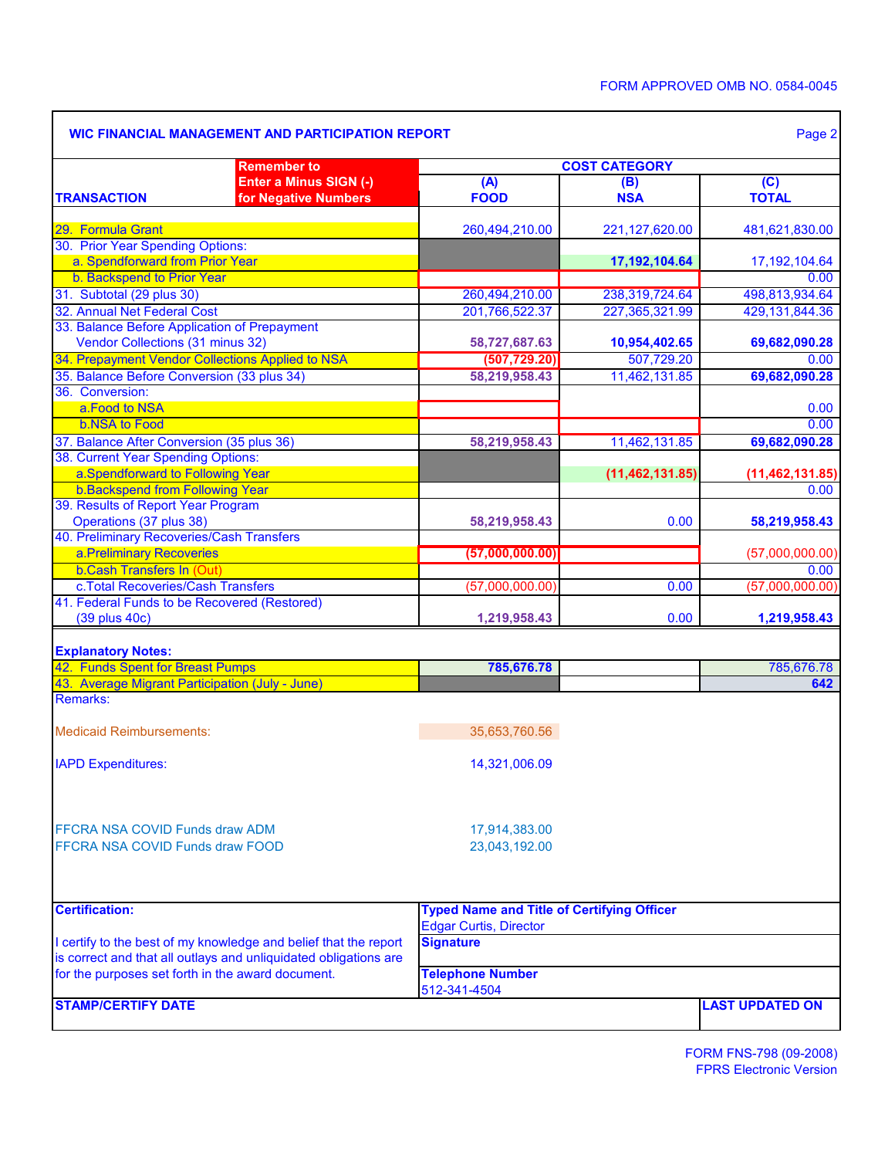٦

|                                                                                      | <b>Remember to</b>                                               | <b>COST CATEGORY</b>                              |                             |                                |  |  |  |  |
|--------------------------------------------------------------------------------------|------------------------------------------------------------------|---------------------------------------------------|-----------------------------|--------------------------------|--|--|--|--|
| <b>TRANSACTION</b>                                                                   | Enter a Minus SIGN (-)<br>for Negative Numbers                   | (A)<br><b>FOOD</b>                                | (B)<br><b>NSA</b>           | $\overline{C}$<br><b>TOTAL</b> |  |  |  |  |
| 29. Formula Grant                                                                    |                                                                  | 260,494,210.00                                    | 221,127,620.00              | 481,621,830.00                 |  |  |  |  |
| 30. Prior Year Spending Options:                                                     |                                                                  |                                                   |                             |                                |  |  |  |  |
| a. Spendforward from Prior Year                                                      |                                                                  |                                                   | 17,192,104.64               | 17, 192, 104. 64               |  |  |  |  |
| b. Backspend to Prior Year                                                           |                                                                  |                                                   |                             | 0.00                           |  |  |  |  |
| 31. Subtotal (29 plus 30)                                                            |                                                                  | 260,494,210.00                                    | 238,319,724.64              | 498,813,934.64                 |  |  |  |  |
| 32. Annual Net Federal Cost                                                          |                                                                  | 201,766,522.37                                    | 227,365,321.99              | 429,131,844.36                 |  |  |  |  |
| 33. Balance Before Application of Prepayment                                         |                                                                  |                                                   |                             |                                |  |  |  |  |
| Vendor Collections (31 minus 32)<br>34. Prepayment Vendor Collections Applied to NSA |                                                                  | 58,727,687.63                                     | 10,954,402.65<br>507,729.20 | 69,682,090.28                  |  |  |  |  |
|                                                                                      |                                                                  | (507, 729.20)                                     |                             | 0.00                           |  |  |  |  |
| 35. Balance Before Conversion (33 plus 34)<br>36. Conversion:                        |                                                                  | 58,219,958.43                                     | 11,462,131.85               | 69,682,090.28                  |  |  |  |  |
| a.Food to NSA                                                                        |                                                                  |                                                   |                             |                                |  |  |  |  |
| <b>b.NSA to Food</b>                                                                 |                                                                  |                                                   |                             | 0.00<br>0.00                   |  |  |  |  |
| 37. Balance After Conversion (35 plus 36)                                            |                                                                  |                                                   | 11,462,131.85               |                                |  |  |  |  |
| 38. Current Year Spending Options:                                                   |                                                                  | 58,219,958.43                                     |                             | 69,682,090.28                  |  |  |  |  |
| a.Spendforward to Following Year                                                     |                                                                  |                                                   | (11, 462, 131.85)           |                                |  |  |  |  |
| <b>b.Backspend from Following Year</b>                                               |                                                                  |                                                   |                             | (11, 462, 131.85)<br>0.00      |  |  |  |  |
| 39. Results of Report Year Program                                                   |                                                                  |                                                   |                             |                                |  |  |  |  |
| Operations (37 plus 38)                                                              |                                                                  | 58,219,958.43                                     | 0.00                        | 58,219,958.43                  |  |  |  |  |
| 40. Preliminary Recoveries/Cash Transfers                                            |                                                                  |                                                   |                             |                                |  |  |  |  |
| a.Preliminary Recoveries                                                             |                                                                  | (57,000,000.00)                                   |                             | (57,000,000.00)                |  |  |  |  |
| <b>b.Cash Transfers In (Out)</b>                                                     |                                                                  |                                                   |                             | 0.00                           |  |  |  |  |
| c. Total Recoveries/Cash Transfers                                                   |                                                                  | (57,000,000.00)                                   | 0.00                        | (57,000,000.00)                |  |  |  |  |
| 41. Federal Funds to be Recovered (Restored)                                         |                                                                  |                                                   |                             |                                |  |  |  |  |
| (39 plus 40c)                                                                        |                                                                  | 1,219,958.43                                      | 0.00                        | 1,219,958.43                   |  |  |  |  |
| <b>Explanatory Notes:</b>                                                            |                                                                  |                                                   |                             |                                |  |  |  |  |
| 42. Funds Spent for Breast Pumps                                                     |                                                                  | 785,676.78                                        |                             | 785,676.78                     |  |  |  |  |
| 43. Average Migrant Participation (July - June)                                      |                                                                  |                                                   |                             | 642                            |  |  |  |  |
| Remarks:                                                                             |                                                                  |                                                   |                             |                                |  |  |  |  |
| <b>Medicaid Reimbursements:</b>                                                      |                                                                  | 35,653,760.56                                     |                             |                                |  |  |  |  |
| <b>IAPD Expenditures:</b>                                                            |                                                                  | 14,321,006.09                                     |                             |                                |  |  |  |  |
| FFCRA NSA COVID Funds draw ADM                                                       |                                                                  | 17,914,383.00                                     |                             |                                |  |  |  |  |
| FFCRA NSA COVID Funds draw FOOD                                                      |                                                                  | 23,043,192.00                                     |                             |                                |  |  |  |  |
| <b>Certification:</b>                                                                |                                                                  | <b>Typed Name and Title of Certifying Officer</b> |                             |                                |  |  |  |  |
|                                                                                      |                                                                  | <b>Edgar Curtis, Director</b>                     |                             |                                |  |  |  |  |
|                                                                                      | I certify to the best of my knowledge and belief that the report | <b>Signature</b>                                  |                             |                                |  |  |  |  |
|                                                                                      | is correct and that all outlays and unliquidated obligations are |                                                   |                             |                                |  |  |  |  |
|                                                                                      |                                                                  | <b>Telephone Number</b>                           |                             |                                |  |  |  |  |
| for the purposes set forth in the award document.                                    |                                                                  | 512-341-4504                                      |                             |                                |  |  |  |  |

 $\overline{\phantom{a}}$